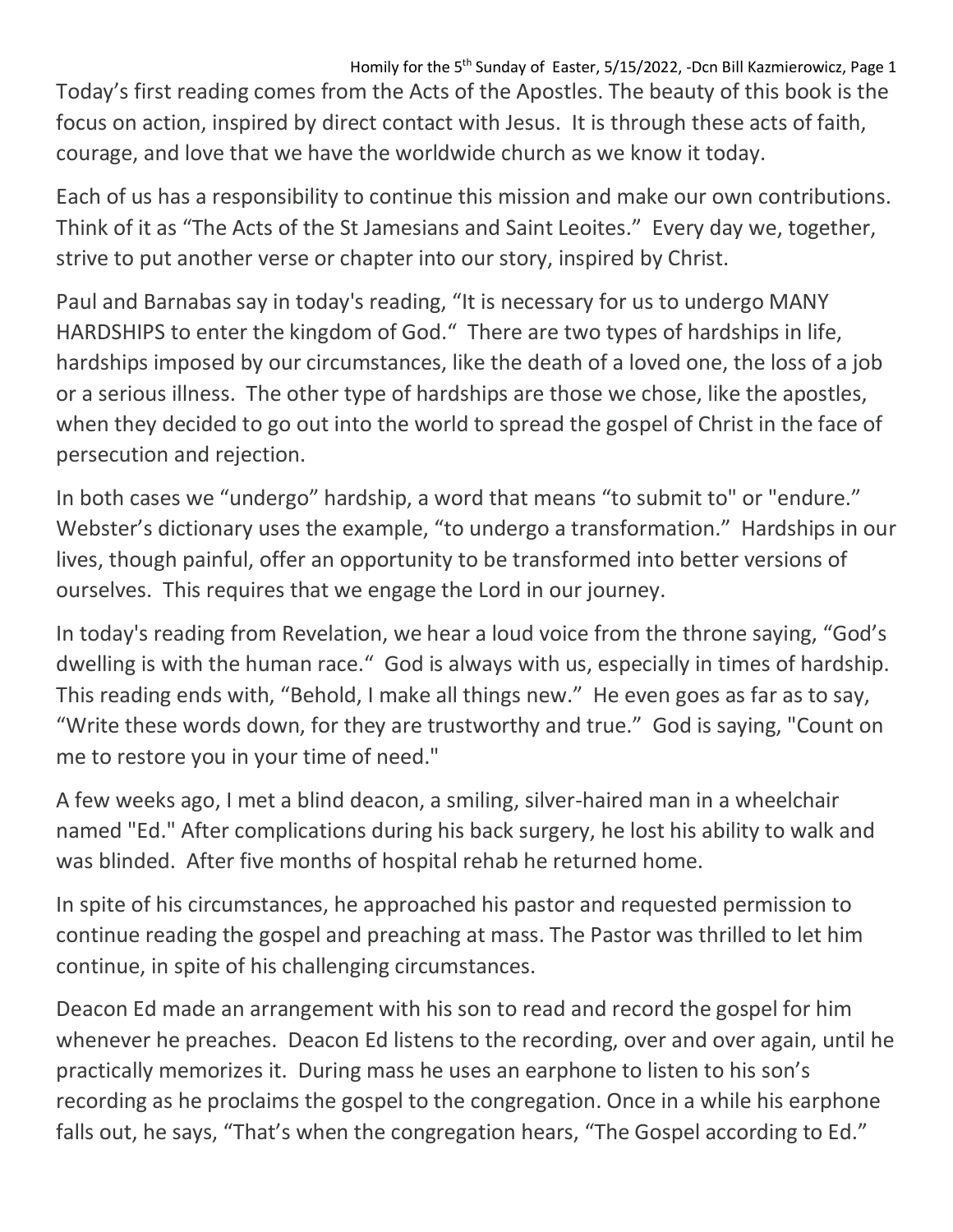Homily for the 5<sup>th</sup> Sunday of Easter, 5/15/2022, -Dcn Bill Kazmierowicz, Page 1

Today's first reading comes from the Acts of the Apostles. The beauty of this book is the focus on action, inspired by direct contact with Jesus. It is through these acts of faith, courage, and love that we have the worldwide church as we know it today.

Each of us has a responsibility to continue this mission and make our own contributions. Think of it as "The Acts of the St Jamesians and Saint Leoites." Every day we, together, strive to put another verse or chapter into our story, inspired by Christ.

Paul and Barnabas say in today's reading, "It is necessary for us to undergo MANY HARDSHIPS to enter the kingdom of God." There are two types of hardships in life, hardships imposed by our circumstances, like the death of a loved one, the loss of a job or a serious illness. The other type of hardships are those we chose, like the apostles, when they decided to go out into the world to spread the gospel of Christ in the face of persecution and rejection.

In both cases we "undergo" hardship, a word that means "to submit to" or "endure." Webster's dictionary uses the example, "to undergo a transformation." Hardships in our lives, though painful, offer an opportunity to be transformed into better versions of ourselves. This requires that we engage the Lord in our journey.

In today's reading from Revelation, we hear a loud voice from the throne saying, "God's dwelling is with the human race." God is always with us, especially in times of hardship. This reading ends with, "Behold, I make all things new." He even goes as far as to say, "Write these words down, for they are trustworthy and true." God is saying, "Count on me to restore you in your time of need."

A few weeks ago, I met a blind deacon, a smiling, silver-haired man in a wheelchair named "Ed." After complications during his back surgery, he lost his ability to walk and was blinded. After five months of hospital rehab he returned home.

In spite of his circumstances, he approached his pastor and requested permission to continue reading the gospel and preaching at mass. The Pastor was thrilled to let him continue, in spite of his challenging circumstances.

Deacon Ed made an arrangement with his son to read and record the gospel for him whenever he preaches. Deacon Ed listens to the recording, over and over again, until he practically memorizes it. During mass he uses an earphone to listen to his son's recording as he proclaims the gospel to the congregation. Once in a while his earphone falls out, he says, "That's when the congregation hears, "The Gospel according to Ed."